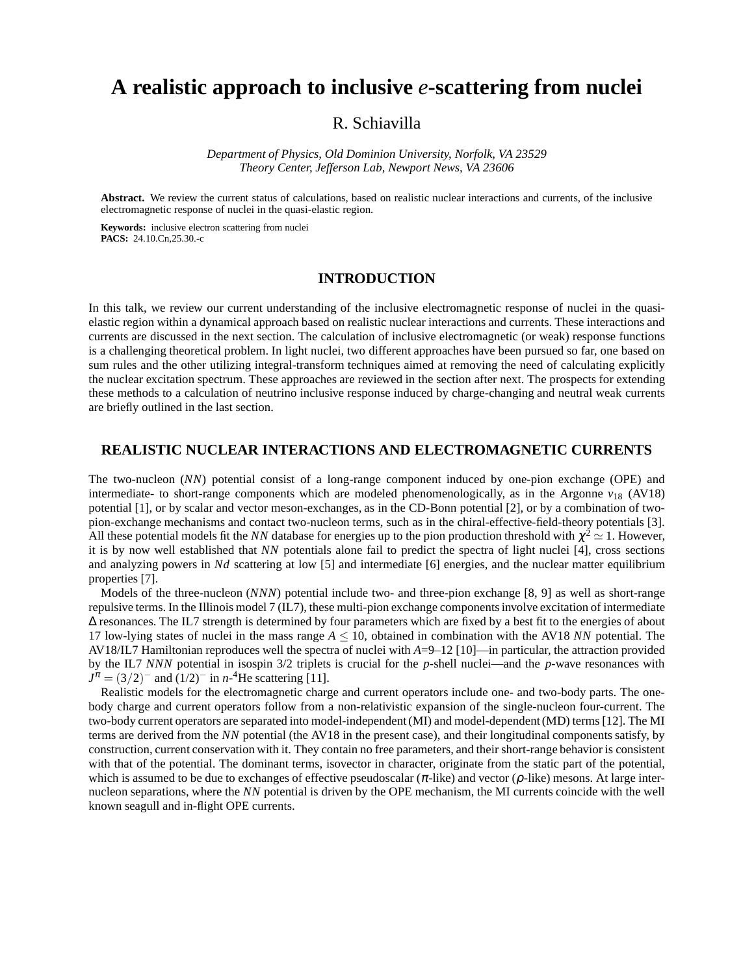# **A realistic approach to inclusive** *e***-scattering from nuclei**

# R. Schiavilla

*Department of Physics, Old Dominion University, Norfolk, VA 23529 Theory Center, Jefferson Lab, Newport News, VA 23606*

**Abstract.** We review the current status of calculations, based on realistic nuclear interactions and currents, of the inclusive electromagnetic response of nuclei in the quasi-elastic region.

**Keywords:** inclusive electron scattering from nuclei **PACS:** 24.10.Cn,25.30.-c

# **INTRODUCTION**

In this talk, we review our current understanding of the inclusive electromagnetic response of nuclei in the quasielastic region within a dynamical approach based on realistic nuclear interactions and currents. These interactions and currents are discussed in the next section. The calculation of inclusive electromagnetic (or weak) response functions is a challenging theoretical problem. In light nuclei, two different approaches have been pursued so far, one based on sum rules and the other utilizing integral-transform techniques aimed at removing the need of calculating explicitly the nuclear excitation spectrum. These approaches are reviewed in the section after next. The prospects for extending these methods to a calculation of neutrino inclusive response induced by charge-changing and neutral weak currents are briefly outlined in the last section.

# **REALISTIC NUCLEAR INTERACTIONS AND ELECTROMAGNETIC CURRENTS**

The two-nucleon (*NN*) potential consist of a long-range component induced by one-pion exchange (OPE) and intermediate- to short-range components which are modeled phenomenologically, as in the Argonne  $v_{18}$  (AV18) potential [1], or by scalar and vector meson-exchanges, as in the CD-Bonn potential [2], or by a combination of twopion-exchange mechanisms and contact two-nucleon terms, such as in the chiral-effective-field-theory potentials [3]. All these potential models fit the *NN* database for energies up to the pion production threshold with  $\chi^2 \simeq 1$ . However, it is by now well established that *NN* potentials alone fail to predict the spectra of light nuclei [4], cross sections and analyzing powers in *Nd* scattering at low [5] and intermediate [6] energies, and the nuclear matter equilibrium properties [7].

Models of the three-nucleon (*NNN*) potential include two- and three-pion exchange [8, 9] as well as short-range repulsive terms. In the Illinois model 7 (IL7), these multi-pion exchange components involve excitation of intermediate ∆ resonances. The IL7 strength is determined by four parameters which are fixed by a best fit to the energies of about 17 low-lying states of nuclei in the mass range *A* ≤ 10, obtained in combination with the AV18 *NN* potential. The AV18/IL7 Hamiltonian reproduces well the spectra of nuclei with *A*=9–12 [10]—in particular, the attraction provided by the IL7 *NNN* potential in isospin 3/2 triplets is crucial for the *p*-shell nuclei—and the *p*-wave resonances with  $J^{\pi} = (3/2)^{-}$  and  $(1/2)^{-}$  in *n*-<sup>4</sup>He scattering [11].

Realistic models for the electromagnetic charge and current operators include one- and two-body parts. The onebody charge and current operators follow from a non-relativistic expansion of the single-nucleon four-current. The two-body current operators are separated into model-independent (MI) and model-dependent (MD) terms [12]. The MI terms are derived from the *NN* potential (the AV18 in the present case), and their longitudinal components satisfy, by construction, current conservation with it. They contain no free parameters, and their short-range behavior is consistent with that of the potential. The dominant terms, isovector in character, originate from the static part of the potential, which is assumed to be due to exchanges of effective pseudoscalar  $(\pi$ -like) and vector ( $\rho$ -like) mesons. At large internucleon separations, where the *NN* potential is driven by the OPE mechanism, the MI currents coincide with the well known seagull and in-flight OPE currents.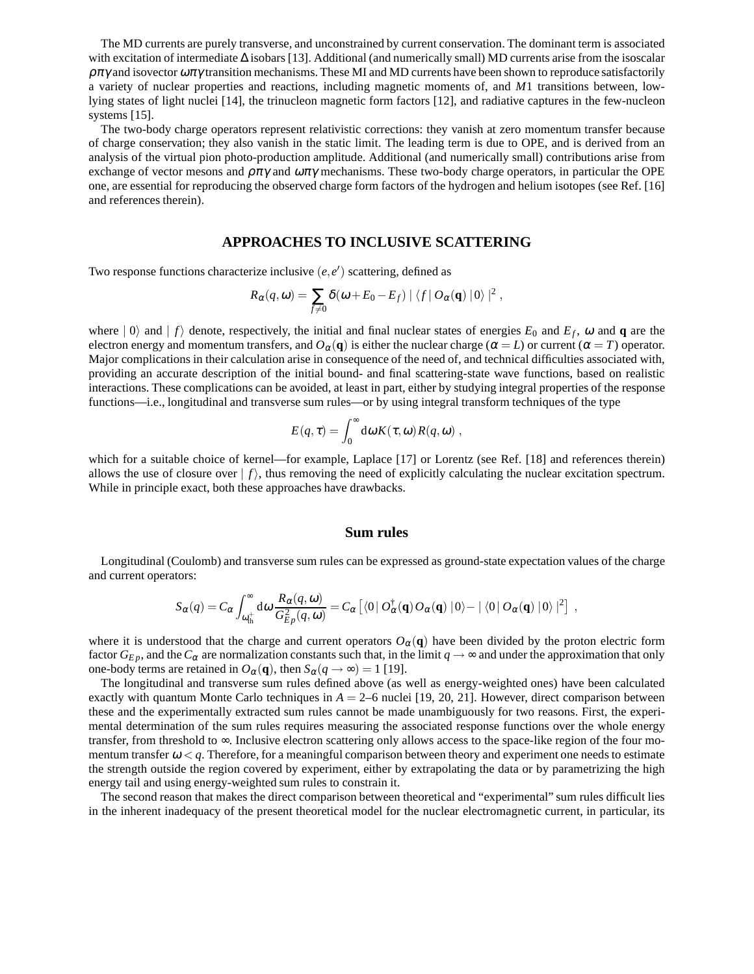The MD currents are purely transverse, and unconstrained by current conservation. The dominant term is associated with excitation of intermediate ∆ isobars [13]. Additional (and numerically small) MD currents arise from the isoscalar  $\rho \pi \gamma$  and isovector  $\omega \pi \gamma$  transition mechanisms. These MI and MD currents have been shown to reproduce satisfactorily a variety of nuclear properties and reactions, including magnetic moments of, and *M*1 transitions between, lowlying states of light nuclei [14], the trinucleon magnetic form factors [12], and radiative captures in the few-nucleon systems [15].

The two-body charge operators represent relativistic corrections: they vanish at zero momentum transfer because of charge conservation; they also vanish in the static limit. The leading term is due to OPE, and is derived from an analysis of the virtual pion photo-production amplitude. Additional (and numerically small) contributions arise from exchange of vector mesons and  $\rho \pi \gamma$  and  $\omega \pi \gamma$  mechanisms. These two-body charge operators, in particular the OPE one, are essential for reproducing the observed charge form factors of the hydrogen and helium isotopes (see Ref. [16] and references therein).

## **APPROACHES TO INCLUSIVE SCATTERING**

Two response functions characterize inclusive  $(e, e')$  scattering, defined as

$$
R_{\alpha}(q,\omega)=\sum_{f\neq 0}\delta(\omega+E_0-E_f)\mid \langle f\mid O_{\alpha}(\mathbf{q})\mid 0\rangle\mid^2,
$$

where  $|0\rangle$  and  $|f\rangle$  denote, respectively, the initial and final nuclear states of energies  $E_0$  and  $E_f$ ,  $\omega$  and  $\mathbf{q}$  are the electron energy and momentum transfers, and  $O_\alpha(\mathbf{q})$  is either the nuclear charge ( $\alpha = L$ ) or current ( $\alpha = T$ ) operator. Major complications in their calculation arise in consequence of the need of, and technical difficulties associated with, providing an accurate description of the initial bound- and final scattering-state wave functions, based on realistic interactions. These complications can be avoided, at least in part, either by studying integral properties of the response functions—i.e., longitudinal and transverse sum rules—or by using integral transform techniques of the type

$$
E(q,\tau) = \int_0^\infty \mathrm{d}\omega K(\tau,\omega) R(q,\omega) ,
$$

which for a suitable choice of kernel—for example, Laplace [17] or Lorentz (see Ref. [18] and references therein) allows the use of closure over  $| f \rangle$ , thus removing the need of explicitly calculating the nuclear excitation spectrum. While in principle exact, both these approaches have drawbacks.

#### **Sum rules**

Longitudinal (Coulomb) and transverse sum rules can be expressed as ground-state expectation values of the charge and current operators:

$$
S_{\alpha}(q) = C_{\alpha} \int_{\omega_{\text{th}}^{+}}^{\infty} \mathrm{d}\omega \, \frac{R_{\alpha}(q,\omega)}{G_{Ep}^{2}(q,\omega)} = C_{\alpha} \left[ \langle 0 \, | \, O_{\alpha}^{\dagger}(\mathbf{q}) \, O_{\alpha}(\mathbf{q}) \, | 0 \rangle - | \, \langle 0 \, | \, O_{\alpha}(\mathbf{q}) \, | 0 \rangle \, |^{2} \right] \; ,
$$

where it is understood that the charge and current operators  $O_\alpha(q)$  have been divided by the proton electric form factor  $G_{E,p}$ , and the  $C_{\alpha}$  are normalization constants such that, in the limit  $q \to \infty$  and under the approximation that only one-body terms are retained in  $O_{\alpha}(\mathbf{q})$ , then  $S_{\alpha}(q \to \infty) = 1$  [19].

The longitudinal and transverse sum rules defined above (as well as energy-weighted ones) have been calculated exactly with quantum Monte Carlo techniques in *A* = 2–6 nuclei [19, 20, 21]. However, direct comparison between these and the experimentally extracted sum rules cannot be made unambiguously for two reasons. First, the experimental determination of the sum rules requires measuring the associated response functions over the whole energy transfer, from threshold to ∞. Inclusive electron scattering only allows access to the space-like region of the four momentum transfer  $\omega < q$ . Therefore, for a meaningful comparison between theory and experiment one needs to estimate the strength outside the region covered by experiment, either by extrapolating the data or by parametrizing the high energy tail and using energy-weighted sum rules to constrain it.

The second reason that makes the direct comparison between theoretical and "experimental" sum rules difficult lies in the inherent inadequacy of the present theoretical model for the nuclear electromagnetic current, in particular, its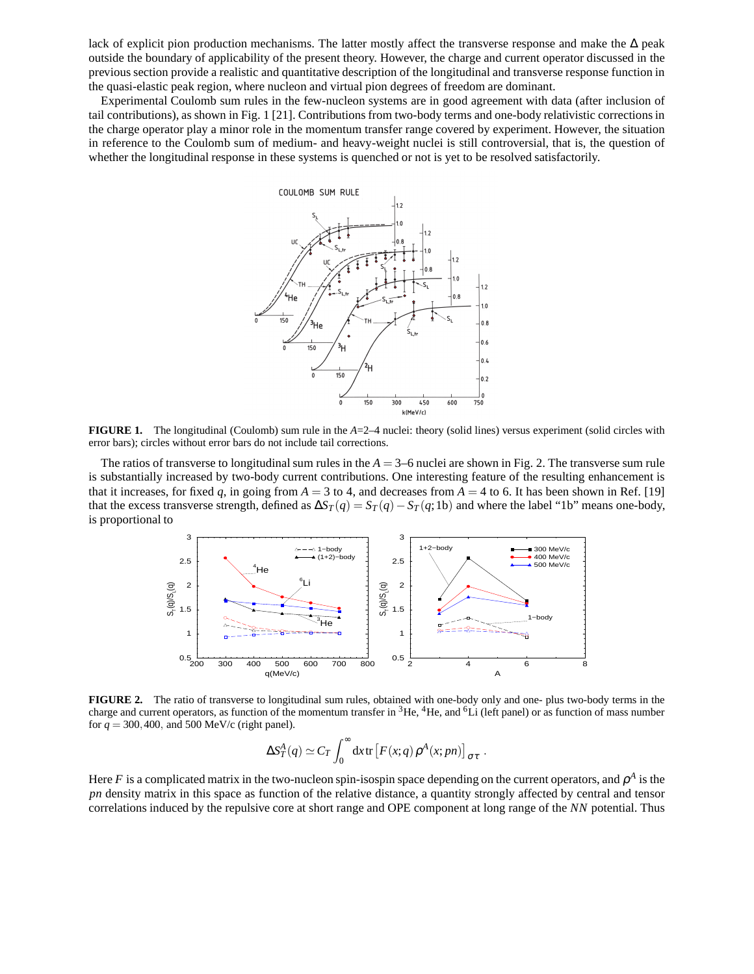lack of explicit pion production mechanisms. The latter mostly affect the transverse response and make the ∆ peak outside the boundary of applicability of the present theory. However, the charge and current operator discussed in the previous section provide a realistic and quantitative description of the longitudinal and transverse response function in the quasi-elastic peak region, where nucleon and virtual pion degrees of freedom are dominant.

Experimental Coulomb sum rules in the few-nucleon systems are in good agreement with data (after inclusion of tail contributions), as shown in Fig. 1 [21]. Contributionsfrom two-body terms and one-body relativistic correctionsin the charge operator play a minor role in the momentum transfer range covered by experiment. However, the situation in reference to the Coulomb sum of medium- and heavy-weight nuclei is still controversial, that is, the question of whether the longitudinal response in these systems is quenched or not is yet to be resolved satisfactorily.



**FIGURE 1.** The longitudinal (Coulomb) sum rule in the *A*=2–4 nuclei: theory (solid lines) versus experiment (solid circles with error bars); circles without error bars do not include tail corrections.

The ratios of transverse to longitudinal sum rules in the *A* = 3–6 nuclei are shown in Fig. 2. The transverse sum rule is substantially increased by two-body current contributions. One interesting feature of the resulting enhancement is that it increases, for fixed q, in going from  $A = 3$  to 4, and decreases from  $A = 4$  to 6. It has been shown in Ref. [19] that the excess transverse strength, defined as  $\Delta S_T(q) = S_T(q) - S_T(q; 1b)$  and where the label "1b" means one-body, is proportional to



**FIGURE 2.** The ratio of transverse to longitudinal sum rules, obtained with one-body only and one- plus two-body terms in the charge and current operators, as function of the momentum transfer in  ${}^{3}He$ ,  ${}^{4}He$ , and  ${}^{6}Li$  (left panel) or as function of mass number for  $q = 300, 400$ , and 500 MeV/c (right panel).

$$
\Delta S_T^A(q) \simeq C_T \int_0^\infty dx \, \text{tr}\left[ F(x;q) \, \rho^A(x;pn) \right]_{\sigma\tau} \, .
$$

Here *F* is a complicated matrix in the two-nucleon spin-isospin space depending on the current operators, and  $\rho^A$  is the *pn* density matrix in this space as function of the relative distance, a quantity strongly affected by central and tensor correlations induced by the repulsive core at short range and OPE component at long range of the *NN* potential. Thus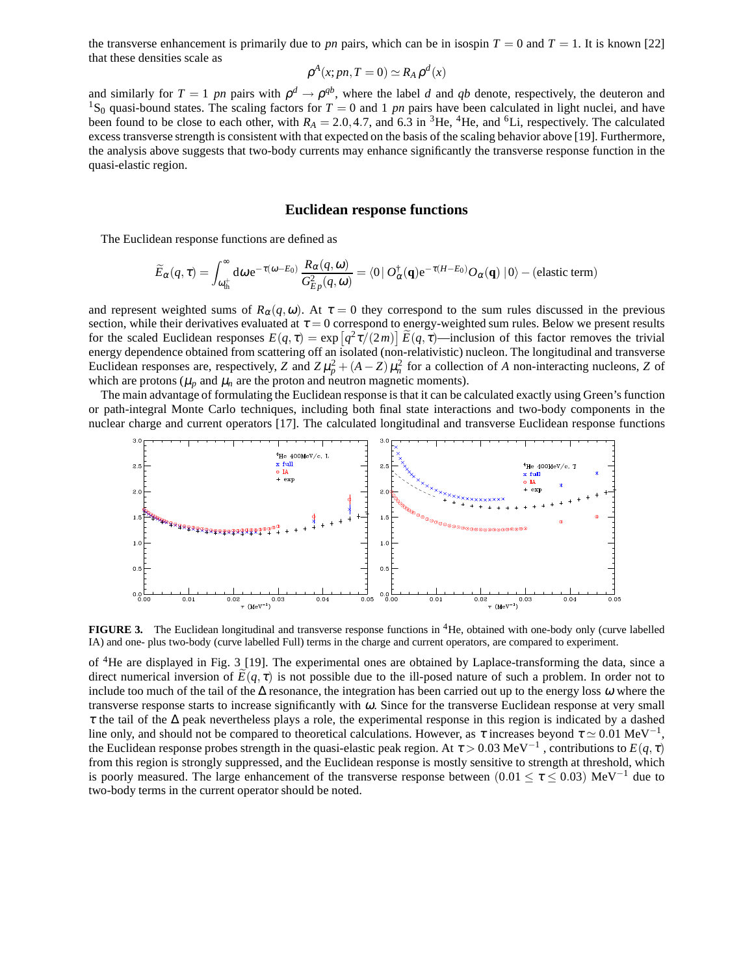the transverse enhancement is primarily due to *pn* pairs, which can be in isospin  $T = 0$  and  $T = 1$ . It is known [22] that these densities scale as

$$
\rho^A(x;pn, T=0) \simeq R_A \rho^d(x)
$$

and similarly for  $T = 1$  pn pairs with  $\rho^d \to \rho^{qb}$ , where the label d and qb denote, respectively, the deuteron and <sup>1</sup>S<sub>0</sub> quasi-bound states. The scaling factors for  $T = 0$  and 1 *pn* pairs have been calculated in light nuclei, and have been found to be close to each other, with  $R_A = 2.0, 4.7$ , and  $6.3$  in <sup>3</sup>He, <sup>4</sup>He, and <sup>6</sup>Li, respectively. The calculated excess transverse strength is consistent with that expected on the basis of the scaling behavior above [19]. Furthermore, the analysis above suggests that two-body currents may enhance significantly the transverse response function in the quasi-elastic region.

#### **Euclidean response functions**

The Euclidean response functions are defined as

$$
\widetilde{E}_{\alpha}(q,\tau) = \int_{\omega_{\text{th}}^+}^{\infty} d\omega \, \text{e}^{-\tau(\omega - E_0)} \, \frac{R_{\alpha}(q,\omega)}{G_{E\rho}^2(q,\omega)} = \langle 0 \, | \, O_{\alpha}^{\dagger}(\mathbf{q}) \text{e}^{-\tau(H - E_0)} O_{\alpha}(\mathbf{q}) \, | \, 0 \rangle - \text{(elastic term)}
$$

and represent weighted sums of  $R_{\alpha}(q,\omega)$ . At  $\tau = 0$  they correspond to the sum rules discussed in the previous section, while their derivatives evaluated at  $\tau = 0$  correspond to energy-weighted sum rules. Below we present results for the scaled Euclidean responses  $E(q, \tau) = \exp(q^2 \tau/(2m)) \widetilde{E}(q, \tau)$ —inclusion of this factor removes the trivial energy dependence obtained from scattering off an isolated (non-relativistic) nucleon. The longitudinal and transverse Euclidean responses are, respectively, *Z* and  $Z\mu_p^2 + (A - Z)\mu_n^2$  for a collection of *A* non-interacting nucleons, *Z* of which are protons ( $\mu_p$  and  $\mu_n$  are the proton and neutron magnetic moments).

The main advantage of formulating the Euclidean response is that it can be calculated exactly using Green's function or path-integral Monte Carlo techniques, including both final state interactions and two-body components in the nuclear charge and current operators [17]. The calculated longitudinal and transverse Euclidean response functions



**FIGURE 3.** The Euclidean longitudinal and transverse response functions in <sup>4</sup>He, obtained with one-body only (curve labelled IA) and one- plus two-body (curve labelled Full) terms in the charge and current operators, are compared to experiment.

of <sup>4</sup>He are displayed in Fig. 3 [19]. The experimental ones are obtained by Laplace-transforming the data, since a direct numerical inversion of  $E(q, \tau)$  is not possible due to the ill-posed nature of such a problem. In order not to include too much of the tail of the  $\Delta$  resonance, the integration has been carried out up to the energy loss  $\omega$  where the transverse response starts to increase significantly with <sup>ω</sup>. Since for the transverse Euclidean response at very small <sup>τ</sup> the tail of the ∆ peak nevertheless plays a role, the experimental response in this region is indicated by a dashed line only, and should not be compared to theoretical calculations. However, as  $\tau$  increases beyond  $\tau \simeq 0.01 \text{ MeV}^{-1}$ , the Euclidean response probes strength in the quasi-elastic peak region. At  $\tau > 0.03 \text{ MeV}^{-1}$ , contributions to  $E(q, \tau)$ from this region is strongly suppressed, and the Euclidean response is mostly sensitive to strength at threshold, which is poorly measured. The large enhancement of the transverse response between (0.01  $\leq \tau \leq 0.03$ ) MeV<sup>-1</sup> due to two-body terms in the current operator should be noted.